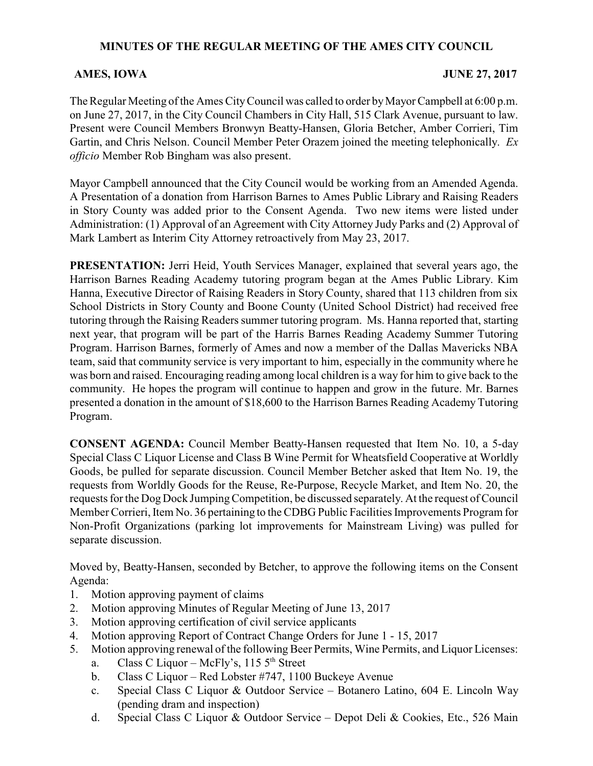# **MINUTES OF THE REGULAR MEETING OF THE AMES CITY COUNCIL**

### **AMES, IOWA** JUNE 27, 2017

The Regular Meeting of the Ames City Council was called to order by Mayor Campbell at 6:00 p.m. on June 27, 2017, in the City Council Chambers in City Hall, 515 Clark Avenue, pursuant to law. Present were Council Members Bronwyn Beatty-Hansen, Gloria Betcher, Amber Corrieri, Tim Gartin, and Chris Nelson. Council Member Peter Orazem joined the meeting telephonically. *Ex officio* Member Rob Bingham was also present.

Mayor Campbell announced that the City Council would be working from an Amended Agenda. A Presentation of a donation from Harrison Barnes to Ames Public Library and Raising Readers in Story County was added prior to the Consent Agenda. Two new items were listed under Administration: (1) Approval of an Agreement with City Attorney Judy Parks and (2) Approval of Mark Lambert as Interim City Attorney retroactively from May 23, 2017.

**PRESENTATION:** Jerri Heid, Youth Services Manager, explained that several years ago, the Harrison Barnes Reading Academy tutoring program began at the Ames Public Library. Kim Hanna, Executive Director of Raising Readers in Story County, shared that 113 children from six School Districts in Story County and Boone County (United School District) had received free tutoring through the Raising Readers summer tutoring program. Ms. Hanna reported that, starting next year, that program will be part of the Harris Barnes Reading Academy Summer Tutoring Program. Harrison Barnes, formerly of Ames and now a member of the Dallas Mavericks NBA team, said that community service is very important to him, especially in the community where he was born and raised. Encouraging reading among local children is a way for him to give back to the community. He hopes the program will continue to happen and grow in the future. Mr. Barnes presented a donation in the amount of \$18,600 to the Harrison Barnes Reading Academy Tutoring Program.

**CONSENT AGENDA:** Council Member Beatty-Hansen requested that Item No. 10, a 5-day Special Class C Liquor License and Class B Wine Permit for Wheatsfield Cooperative at Worldly Goods, be pulled for separate discussion. Council Member Betcher asked that Item No. 19, the requests from Worldly Goods for the Reuse, Re-Purpose, Recycle Market, and Item No. 20, the requests for the Dog Dock Jumping Competition, be discussed separately. At the request of Council Member Corrieri, Item No. 36 pertaining to the CDBG Public Facilities Improvements Program for Non-Profit Organizations (parking lot improvements for Mainstream Living) was pulled for separate discussion.

Moved by, Beatty-Hansen, seconded by Betcher, to approve the following items on the Consent Agenda:

- 1. Motion approving payment of claims
- 2. Motion approving Minutes of Regular Meeting of June 13, 2017
- 3. Motion approving certification of civil service applicants
- 4. Motion approving Report of Contract Change Orders for June 1 15, 2017
- 5. Motion approving renewal of the following Beer Permits, Wine Permits, and Liquor Licenses:
	- a. Class C Liquor McFly's,  $1155<sup>th</sup>$  Street
	- b. Class C Liquor Red Lobster #747, 1100 Buckeye Avenue
	- c. Special Class C Liquor & Outdoor Service Botanero Latino, 604 E. Lincoln Way (pending dram and inspection)
	- d. Special Class C Liquor & Outdoor Service Depot Deli & Cookies, Etc., 526 Main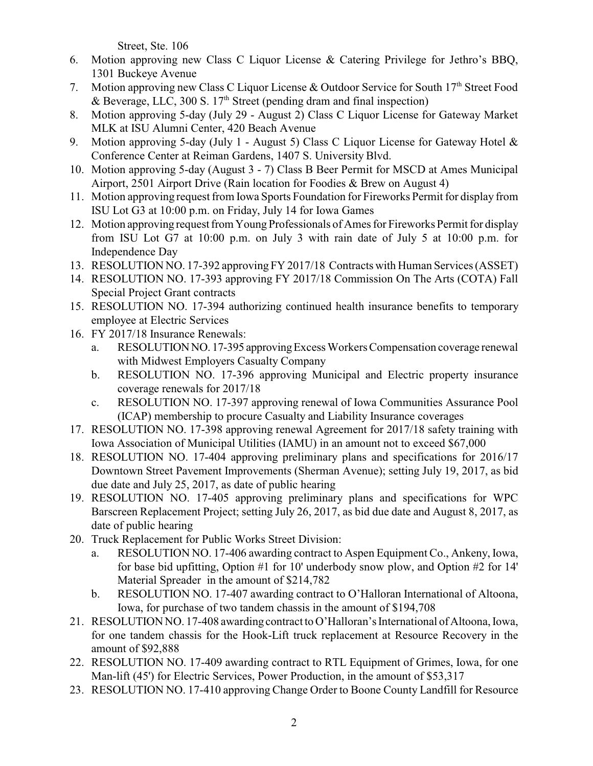Street, Ste. 106

- 6. Motion approving new Class C Liquor License & Catering Privilege for Jethro's BBQ, 1301 Buckeye Avenue
- 7. Motion approving new Class C Liquor License & Outdoor Service for South 17<sup>th</sup> Street Food & Beverage, LLC, 300 S.  $17<sup>th</sup>$  Street (pending dram and final inspection)
- 8. Motion approving 5-day (July 29 August 2) Class C Liquor License for Gateway Market MLK at ISU Alumni Center, 420 Beach Avenue
- 9. Motion approving 5-day (July 1 August 5) Class C Liquor License for Gateway Hotel & Conference Center at Reiman Gardens, 1407 S. University Blvd.
- 10. Motion approving 5-day (August 3 7) Class B Beer Permit for MSCD at Ames Municipal Airport, 2501 Airport Drive (Rain location for Foodies & Brew on August 4)
- 11. Motion approving request from Iowa Sports Foundation for Fireworks Permit for display from ISU Lot G3 at 10:00 p.m. on Friday, July 14 for Iowa Games
- 12. Motion approving request from Young Professionals of Ames for Fireworks Permit for display from ISU Lot G7 at 10:00 p.m. on July 3 with rain date of July 5 at 10:00 p.m. for Independence Day
- 13. RESOLUTION NO. 17-392 approving FY 2017/18 Contracts with Human Services (ASSET)
- 14. RESOLUTION NO. 17-393 approving FY 2017/18 Commission On The Arts (COTA) Fall Special Project Grant contracts
- 15. RESOLUTION NO. 17-394 authorizing continued health insurance benefits to temporary employee at Electric Services
- 16. FY 2017/18 Insurance Renewals:
	- a. RESOLUTIONNO. 17-395 approvingExcess Workers Compensation coverage renewal with Midwest Employers Casualty Company
	- b. RESOLUTION NO. 17-396 approving Municipal and Electric property insurance coverage renewals for 2017/18
	- c. RESOLUTION NO. 17-397 approving renewal of Iowa Communities Assurance Pool (ICAP) membership to procure Casualty and Liability Insurance coverages
- 17. RESOLUTION NO. 17-398 approving renewal Agreement for 2017/18 safety training with Iowa Association of Municipal Utilities (IAMU) in an amount not to exceed \$67,000
- 18. RESOLUTION NO. 17-404 approving preliminary plans and specifications for 2016/17 Downtown Street Pavement Improvements (Sherman Avenue); setting July 19, 2017, as bid due date and July 25, 2017, as date of public hearing
- 19. RESOLUTION NO. 17-405 approving preliminary plans and specifications for WPC Barscreen Replacement Project; setting July 26, 2017, as bid due date and August 8, 2017, as date of public hearing
- 20. Truck Replacement for Public Works Street Division:
	- a. RESOLUTION NO. 17-406 awarding contract to Aspen Equipment Co., Ankeny, Iowa, for base bid upfitting, Option #1 for 10' underbody snow plow, and Option #2 for 14' Material Spreader in the amount of \$214,782
	- b. RESOLUTION NO. 17-407 awarding contract to O'Halloran International of Altoona, Iowa, for purchase of two tandem chassis in the amount of \$194,708
- 21. RESOLUTION NO. 17-408 awarding contract to O'Halloran's International of Altoona, Iowa, for one tandem chassis for the Hook-Lift truck replacement at Resource Recovery in the amount of \$92,888
- 22. RESOLUTION NO. 17-409 awarding contract to RTL Equipment of Grimes, Iowa, for one Man-lift (45') for Electric Services, Power Production, in the amount of \$53,317
- 23. RESOLUTION NO. 17-410 approving Change Order to Boone County Landfill for Resource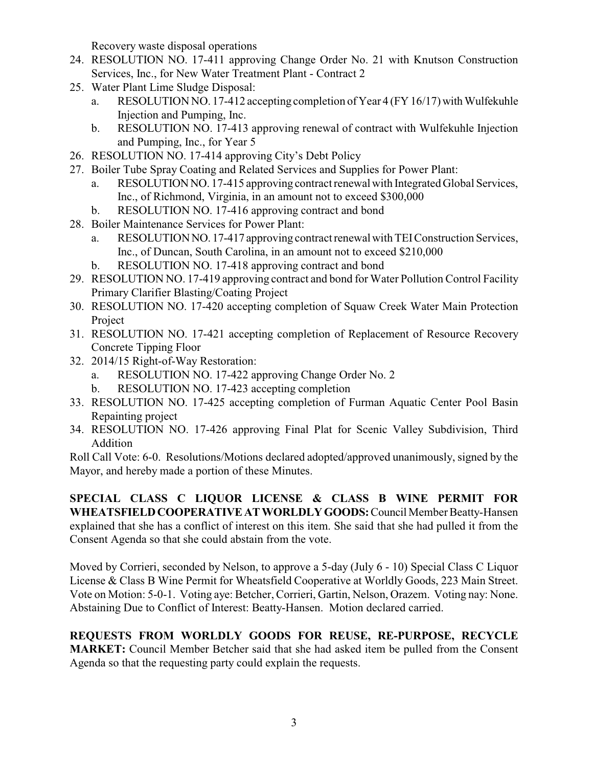Recovery waste disposal operations

- 24. RESOLUTION NO. 17-411 approving Change Order No. 21 with Knutson Construction Services, Inc., for New Water Treatment Plant - Contract 2
- 25. Water Plant Lime Sludge Disposal:
	- a. RESOLUTION NO. 17-412 accepting completion of Year  $4$  (FY 16/17) with Wulfekuhle Injection and Pumping, Inc.
	- b. RESOLUTION NO. 17-413 approving renewal of contract with Wulfekuhle Injection and Pumping, Inc., for Year 5
- 26. RESOLUTION NO. 17-414 approving City's Debt Policy
- 27. Boiler Tube Spray Coating and Related Services and Supplies for Power Plant:
	- a. RESOLUTIONNO. 17-415 approving contract renewal with Integrated Global Services, Inc., of Richmond, Virginia, in an amount not to exceed \$300,000
	- b. RESOLUTION NO. 17-416 approving contract and bond
- 28. Boiler Maintenance Services for Power Plant:
	- a. RESOLUTIONNO. 17-417 approving contract renewal with TEIConstruction Services, Inc., of Duncan, South Carolina, in an amount not to exceed \$210,000
	- b. RESOLUTION NO. 17-418 approving contract and bond
- 29. RESOLUTION NO. 17-419 approving contract and bond for Water Pollution Control Facility Primary Clarifier Blasting/Coating Project
- 30. RESOLUTION NO. 17-420 accepting completion of Squaw Creek Water Main Protection Project
- 31. RESOLUTION NO. 17-421 accepting completion of Replacement of Resource Recovery Concrete Tipping Floor
- 32. 2014/15 Right-of-Way Restoration:
	- a. RESOLUTION NO. 17-422 approving Change Order No. 2
	- b. RESOLUTION NO. 17-423 accepting completion
- 33. RESOLUTION NO. 17-425 accepting completion of Furman Aquatic Center Pool Basin Repainting project
- 34. RESOLUTION NO. 17-426 approving Final Plat for Scenic Valley Subdivision, Third Addition

Roll Call Vote: 6-0. Resolutions/Motions declared adopted/approved unanimously, signed by the Mayor, and hereby made a portion of these Minutes.

**SPECIAL CLASS C LIQUOR LICENSE & CLASS B WINE PERMIT FOR WHEATSFIELDCOOPERATIVEATWORLDLYGOODS:**Council Member Beatty-Hansen explained that she has a conflict of interest on this item. She said that she had pulled it from the Consent Agenda so that she could abstain from the vote.

Moved by Corrieri, seconded by Nelson, to approve a 5-day (July 6 - 10) Special Class C Liquor License & Class B Wine Permit for Wheatsfield Cooperative at Worldly Goods, 223 Main Street. Vote on Motion: 5-0-1. Voting aye: Betcher, Corrieri, Gartin, Nelson, Orazem. Voting nay: None. Abstaining Due to Conflict of Interest: Beatty-Hansen. Motion declared carried.

**REQUESTS FROM WORLDLY GOODS FOR REUSE, RE-PURPOSE, RECYCLE MARKET:** Council Member Betcher said that she had asked item be pulled from the Consent Agenda so that the requesting party could explain the requests.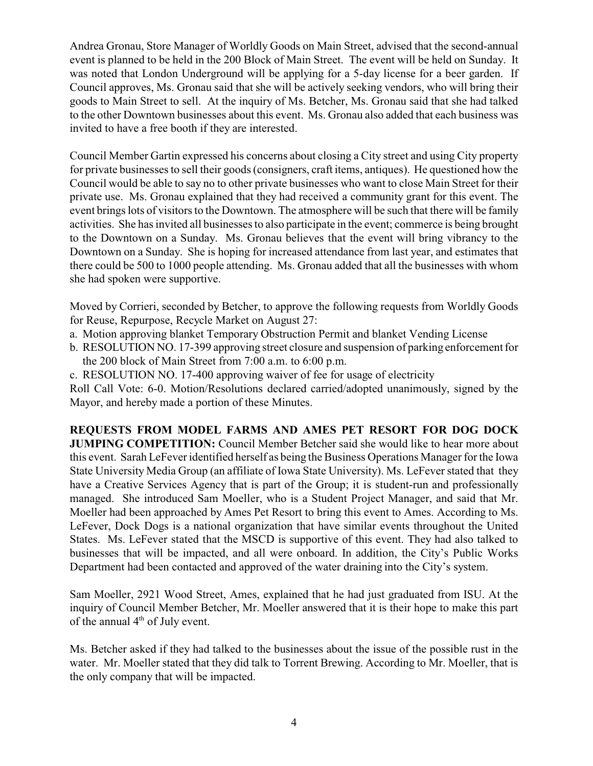Andrea Gronau, Store Manager of Worldly Goods on Main Street, advised that the second-annual event is planned to be held in the 200 Block of Main Street. The event will be held on Sunday. It was noted that London Underground will be applying for a 5-day license for a beer garden. If Council approves, Ms. Gronau said that she will be actively seeking vendors, who will bring their goods to Main Street to sell. At the inquiry of Ms. Betcher, Ms. Gronau said that she had talked to the other Downtown businesses about this event. Ms. Gronau also added that each business was invited to have a free booth if they are interested.

Council Member Gartin expressed his concerns about closing a City street and using City property for private businesses to sell their goods (consigners, craft items, antiques). He questioned how the Council would be able to say no to other private businesses who want to close Main Street for their private use. Ms. Gronau explained that they had received a community grant for this event. The event brings lots of visitors to the Downtown. The atmosphere will be such that there will be family activities. She has invited all businesses to also participate in the event; commerce is being brought to the Downtown on a Sunday. Ms. Gronau believes that the event will bring vibrancy to the Downtown on a Sunday. She is hoping for increased attendance from last year, and estimates that there could be 500 to 1000 people attending. Ms. Gronau added that all the businesses with whom she had spoken were supportive.

Moved by Corrieri, seconded by Betcher, to approve the following requests from Worldly Goods for Reuse, Repurpose, Recycle Market on August 27:

- a. Motion approving blanket Temporary Obstruction Permit and blanket Vending License
- b. RESOLUTION NO. 17-399 approving street closure and suspension of parking enforcement for the 200 block of Main Street from 7:00 a.m. to 6:00 p.m.
- c. RESOLUTION NO. 17-400 approving waiver of fee for usage of electricity

Roll Call Vote: 6-0. Motion/Resolutions declared carried/adopted unanimously, signed by the Mayor, and hereby made a portion of these Minutes.

**REQUESTS FROM MODEL FARMS AND AMES PET RESORT FOR DOG DOCK JUMPING COMPETITION:** Council Member Betcher said she would like to hear more about this event. Sarah LeFever identified herself as being the Business Operations Manager for the Iowa State University Media Group (an affiliate of Iowa State University). Ms. LeFever stated that they have a Creative Services Agency that is part of the Group; it is student-run and professionally managed. She introduced Sam Moeller, who is a Student Project Manager, and said that Mr. Moeller had been approached by Ames Pet Resort to bring this event to Ames. According to Ms. LeFever, Dock Dogs is a national organization that have similar events throughout the United States. Ms. LeFever stated that the MSCD is supportive of this event. They had also talked to businesses that will be impacted, and all were onboard. In addition, the City's Public Works Department had been contacted and approved of the water draining into the City's system.

Sam Moeller, 2921 Wood Street, Ames, explained that he had just graduated from ISU. At the inquiry of Council Member Betcher, Mr. Moeller answered that it is their hope to make this part of the annual  $4<sup>th</sup>$  of July event.

Ms. Betcher asked if they had talked to the businesses about the issue of the possible rust in the water. Mr. Moeller stated that they did talk to Torrent Brewing. According to Mr. Moeller, that is the only company that will be impacted.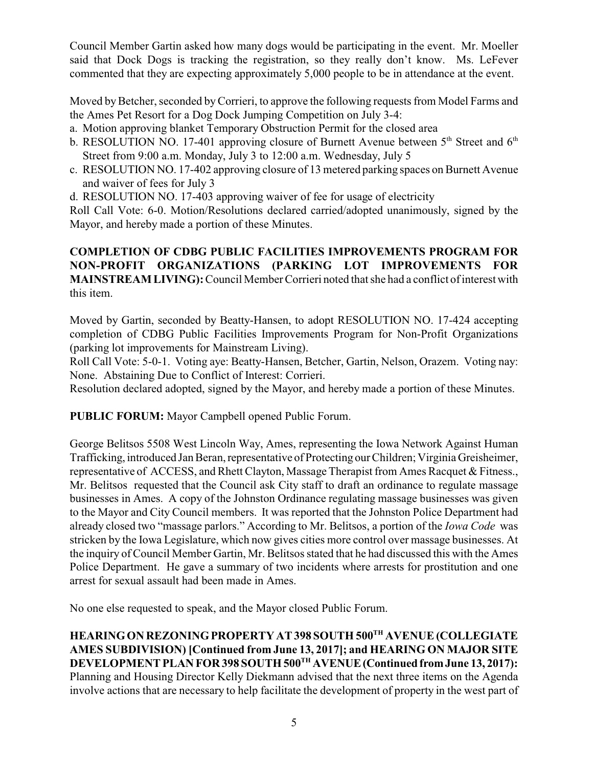Council Member Gartin asked how many dogs would be participating in the event. Mr. Moeller said that Dock Dogs is tracking the registration, so they really don't know. Ms. LeFever commented that they are expecting approximately 5,000 people to be in attendance at the event.

Moved by Betcher, seconded by Corrieri, to approve the following requests from Model Farms and the Ames Pet Resort for a Dog Dock Jumping Competition on July 3-4:

- a. Motion approving blanket Temporary Obstruction Permit for the closed area
- b. RESOLUTION NO. 17-401 approving closure of Burnett Avenue between  $5<sup>th</sup>$  Street and  $6<sup>th</sup>$ Street from 9:00 a.m. Monday, July 3 to 12:00 a.m. Wednesday, July 5
- c. RESOLUTION NO. 17-402 approving closure of 13 metered parking spaces on Burnett Avenue and waiver of fees for July 3
- d. RESOLUTION NO. 17-403 approving waiver of fee for usage of electricity

Roll Call Vote: 6-0. Motion/Resolutions declared carried/adopted unanimously, signed by the Mayor, and hereby made a portion of these Minutes.

# **COMPLETION OF CDBG PUBLIC FACILITIES IMPROVEMENTS PROGRAM FOR NON-PROFIT ORGANIZATIONS (PARKING LOT IMPROVEMENTS FOR MAINSTREAM LIVING):**Council Member Corrieri noted that she had a conflict of interest with this item.

Moved by Gartin, seconded by Beatty-Hansen, to adopt RESOLUTION NO. 17-424 accepting completion of CDBG Public Facilities Improvements Program for Non-Profit Organizations (parking lot improvements for Mainstream Living).

Roll Call Vote: 5-0-1. Voting aye: Beatty-Hansen, Betcher, Gartin, Nelson, Orazem. Voting nay: None. Abstaining Due to Conflict of Interest: Corrieri.

Resolution declared adopted, signed by the Mayor, and hereby made a portion of these Minutes.

**PUBLIC FORUM:** Mayor Campbell opened Public Forum.

George Belitsos 5508 West Lincoln Way, Ames, representing the Iowa Network Against Human Trafficking, introduced Jan Beran, representative of Protecting our Children; Virginia Greisheimer, representative of ACCESS, and Rhett Clayton, Massage Therapist from Ames Racquet & Fitness., Mr. Belitsos requested that the Council ask City staff to draft an ordinance to regulate massage businesses in Ames. A copy of the Johnston Ordinance regulating massage businesses was given to the Mayor and City Council members. It was reported that the Johnston Police Department had already closed two "massage parlors." According to Mr. Belitsos, a portion of the *Iowa Code* was stricken by the Iowa Legislature, which now gives cities more control over massage businesses. At the inquiry of Council Member Gartin, Mr. Belitsos stated that he had discussed this with the Ames Police Department. He gave a summary of two incidents where arrests for prostitution and one arrest for sexual assault had been made in Ames.

No one else requested to speak, and the Mayor closed Public Forum.

**HEARINGON REZONINGPROPERTY AT 398 SOUTH 500TH AVENUE (COLLEGIATE AMES SUBDIVISION) [Continued from June 13, 2017]; and HEARING ON MAJOR SITE DEVELOPMENT PLAN FOR 398 SOUTH 500TH AVENUE(Continued fromJune 13, 2017):** Planning and Housing Director Kelly Diekmann advised that the next three items on the Agenda involve actions that are necessary to help facilitate the development of property in the west part of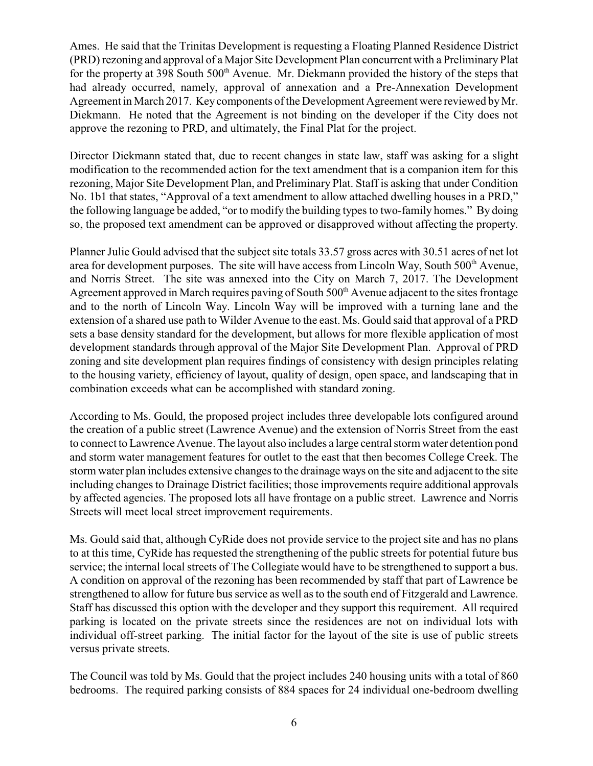Ames. He said that the Trinitas Development is requesting a Floating Planned Residence District (PRD) rezoning and approval of a Major Site Development Plan concurrent with a Preliminary Plat for the property at 398 South 500<sup>th</sup> Avenue. Mr. Diekmann provided the history of the steps that had already occurred, namely, approval of annexation and a Pre-Annexation Development Agreement in March 2017. Keycomponents of the Development Agreement were reviewed byMr. Diekmann. He noted that the Agreement is not binding on the developer if the City does not approve the rezoning to PRD, and ultimately, the Final Plat for the project.

Director Diekmann stated that, due to recent changes in state law, staff was asking for a slight modification to the recommended action for the text amendment that is a companion item for this rezoning, Major Site Development Plan, and Preliminary Plat. Staff is asking that under Condition No. 1b1 that states, "Approval of a text amendment to allow attached dwelling houses in a PRD," the following language be added, "or to modify the building types to two-family homes." By doing so, the proposed text amendment can be approved or disapproved without affecting the property.

Planner Julie Gould advised that the subject site totals 33.57 gross acres with 30.51 acres of net lot area for development purposes. The site will have access from Lincoln Way, South 500<sup>th</sup> Avenue, and Norris Street. The site was annexed into the City on March 7, 2017. The Development Agreement approved in March requires paving of South 500<sup>th</sup> Avenue adjacent to the sites frontage and to the north of Lincoln Way. Lincoln Way will be improved with a turning lane and the extension of a shared use path to Wilder Avenue to the east. Ms. Gould said that approval of a PRD sets a base density standard for the development, but allows for more flexible application of most development standards through approval of the Major Site Development Plan. Approval of PRD zoning and site development plan requires findings of consistency with design principles relating to the housing variety, efficiency of layout, quality of design, open space, and landscaping that in combination exceeds what can be accomplished with standard zoning.

According to Ms. Gould, the proposed project includes three developable lots configured around the creation of a public street (Lawrence Avenue) and the extension of Norris Street from the east to connect to Lawrence Avenue. The layout also includes a large central storm water detention pond and storm water management features for outlet to the east that then becomes College Creek. The storm water plan includes extensive changes to the drainage ways on the site and adjacent to the site including changes to Drainage District facilities; those improvements require additional approvals by affected agencies. The proposed lots all have frontage on a public street. Lawrence and Norris Streets will meet local street improvement requirements.

Ms. Gould said that, although CyRide does not provide service to the project site and has no plans to at this time, CyRide has requested the strengthening of the public streets for potential future bus service; the internal local streets of The Collegiate would have to be strengthened to support a bus. A condition on approval of the rezoning has been recommended by staff that part of Lawrence be strengthened to allow for future bus service as well as to the south end of Fitzgerald and Lawrence. Staff has discussed this option with the developer and they support this requirement. All required parking is located on the private streets since the residences are not on individual lots with individual off-street parking. The initial factor for the layout of the site is use of public streets versus private streets.

The Council was told by Ms. Gould that the project includes 240 housing units with a total of 860 bedrooms. The required parking consists of 884 spaces for 24 individual one-bedroom dwelling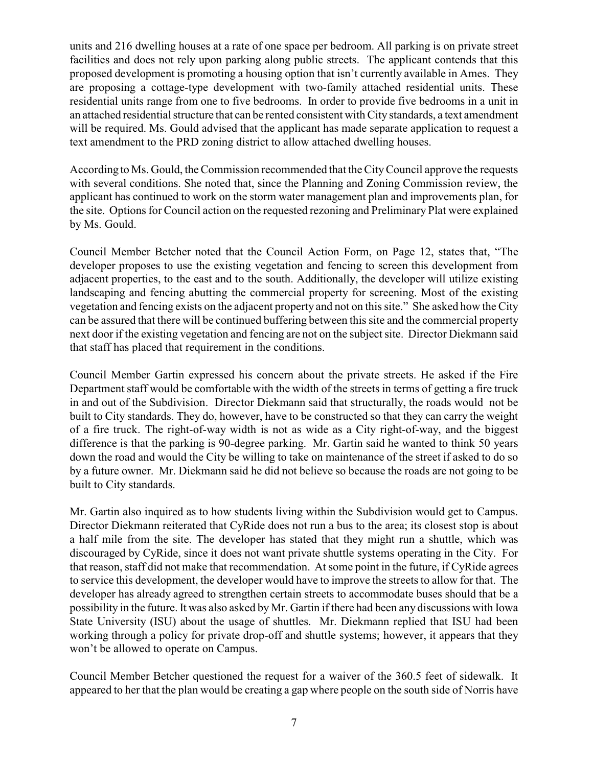units and 216 dwelling houses at a rate of one space per bedroom. All parking is on private street facilities and does not rely upon parking along public streets. The applicant contends that this proposed development is promoting a housing option that isn't currently available in Ames. They are proposing a cottage-type development with two-family attached residential units. These residential units range from one to five bedrooms. In order to provide five bedrooms in a unit in an attached residential structure that can be rented consistent with City standards, a text amendment will be required. Ms. Gould advised that the applicant has made separate application to request a text amendment to the PRD zoning district to allow attached dwelling houses.

According to Ms. Gould, the Commission recommended that the CityCouncil approve the requests with several conditions. She noted that, since the Planning and Zoning Commission review, the applicant has continued to work on the storm water management plan and improvements plan, for the site. Options for Council action on the requested rezoning and Preliminary Plat were explained by Ms. Gould.

Council Member Betcher noted that the Council Action Form, on Page 12, states that, "The developer proposes to use the existing vegetation and fencing to screen this development from adjacent properties, to the east and to the south. Additionally, the developer will utilize existing landscaping and fencing abutting the commercial property for screening. Most of the existing vegetation and fencing exists on the adjacent property and not on this site." She asked how the City can be assured that there will be continued buffering between this site and the commercial property next door if the existing vegetation and fencing are not on the subject site. Director Diekmann said that staff has placed that requirement in the conditions.

Council Member Gartin expressed his concern about the private streets. He asked if the Fire Department staff would be comfortable with the width of the streets in terms of getting a fire truck in and out of the Subdivision. Director Diekmann said that structurally, the roads would not be built to City standards. They do, however, have to be constructed so that they can carry the weight of a fire truck. The right-of-way width is not as wide as a City right-of-way, and the biggest difference is that the parking is 90-degree parking. Mr. Gartin said he wanted to think 50 years down the road and would the City be willing to take on maintenance of the street if asked to do so by a future owner. Mr. Diekmann said he did not believe so because the roads are not going to be built to City standards.

Mr. Gartin also inquired as to how students living within the Subdivision would get to Campus. Director Diekmann reiterated that CyRide does not run a bus to the area; its closest stop is about a half mile from the site. The developer has stated that they might run a shuttle, which was discouraged by CyRide, since it does not want private shuttle systems operating in the City. For that reason, staff did not make that recommendation. At some point in the future, if CyRide agrees to service this development, the developer would have to improve the streets to allow for that. The developer has already agreed to strengthen certain streets to accommodate buses should that be a possibility in the future. It was also asked by Mr. Gartin if there had been any discussions with Iowa State University (ISU) about the usage of shuttles. Mr. Diekmann replied that ISU had been working through a policy for private drop-off and shuttle systems; however, it appears that they won't be allowed to operate on Campus.

Council Member Betcher questioned the request for a waiver of the 360.5 feet of sidewalk. It appeared to her that the plan would be creating a gap where people on the south side of Norris have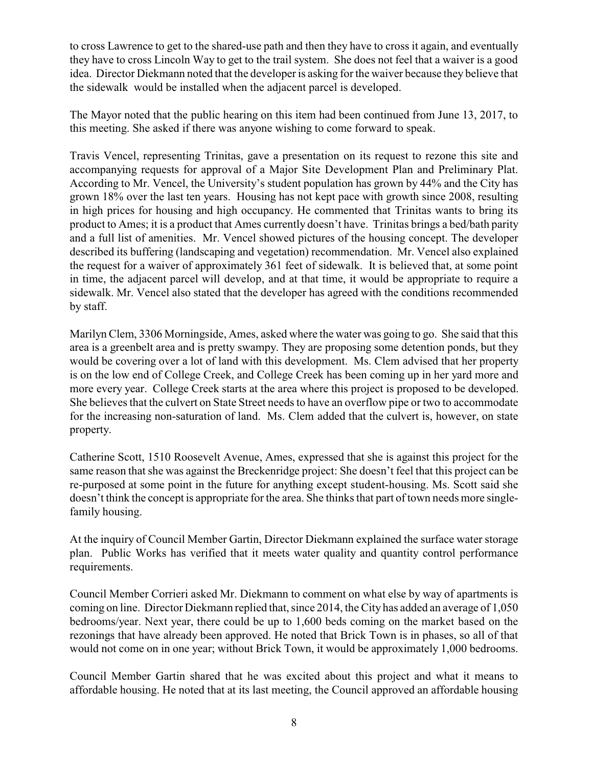to cross Lawrence to get to the shared-use path and then they have to cross it again, and eventually they have to cross Lincoln Way to get to the trail system. She does not feel that a waiver is a good idea. Director Diekmann noted that the developer is asking for the waiver because they believe that the sidewalk would be installed when the adjacent parcel is developed.

The Mayor noted that the public hearing on this item had been continued from June 13, 2017, to this meeting. She asked if there was anyone wishing to come forward to speak.

Travis Vencel, representing Trinitas, gave a presentation on its request to rezone this site and accompanying requests for approval of a Major Site Development Plan and Preliminary Plat. According to Mr. Vencel, the University's student population has grown by 44% and the City has grown 18% over the last ten years. Housing has not kept pace with growth since 2008, resulting in high prices for housing and high occupancy. He commented that Trinitas wants to bring its product to Ames; it is a product that Ames currently doesn't have. Trinitas brings a bed/bath parity and a full list of amenities. Mr. Vencel showed pictures of the housing concept. The developer described its buffering (landscaping and vegetation) recommendation. Mr. Vencel also explained the request for a waiver of approximately 361 feet of sidewalk. It is believed that, at some point in time, the adjacent parcel will develop, and at that time, it would be appropriate to require a sidewalk. Mr. Vencel also stated that the developer has agreed with the conditions recommended by staff.

Marilyn Clem, 3306 Morningside, Ames, asked where the water was going to go. She said that this area is a greenbelt area and is pretty swampy. They are proposing some detention ponds, but they would be covering over a lot of land with this development. Ms. Clem advised that her property is on the low end of College Creek, and College Creek has been coming up in her yard more and more every year. College Creek starts at the area where this project is proposed to be developed. She believes that the culvert on State Street needs to have an overflow pipe or two to accommodate for the increasing non-saturation of land. Ms. Clem added that the culvert is, however, on state property.

Catherine Scott, 1510 Roosevelt Avenue, Ames, expressed that she is against this project for the same reason that she was against the Breckenridge project: She doesn't feel that this project can be re-purposed at some point in the future for anything except student-housing. Ms. Scott said she doesn't think the concept is appropriate for the area. She thinks that part of town needs more singlefamily housing.

At the inquiry of Council Member Gartin, Director Diekmann explained the surface water storage plan. Public Works has verified that it meets water quality and quantity control performance requirements.

Council Member Corrieri asked Mr. Diekmann to comment on what else by way of apartments is coming on line. Director Diekmann replied that, since 2014, the City has added an average of 1,050 bedrooms/year. Next year, there could be up to 1,600 beds coming on the market based on the rezonings that have already been approved. He noted that Brick Town is in phases, so all of that would not come on in one year; without Brick Town, it would be approximately 1,000 bedrooms.

Council Member Gartin shared that he was excited about this project and what it means to affordable housing. He noted that at its last meeting, the Council approved an affordable housing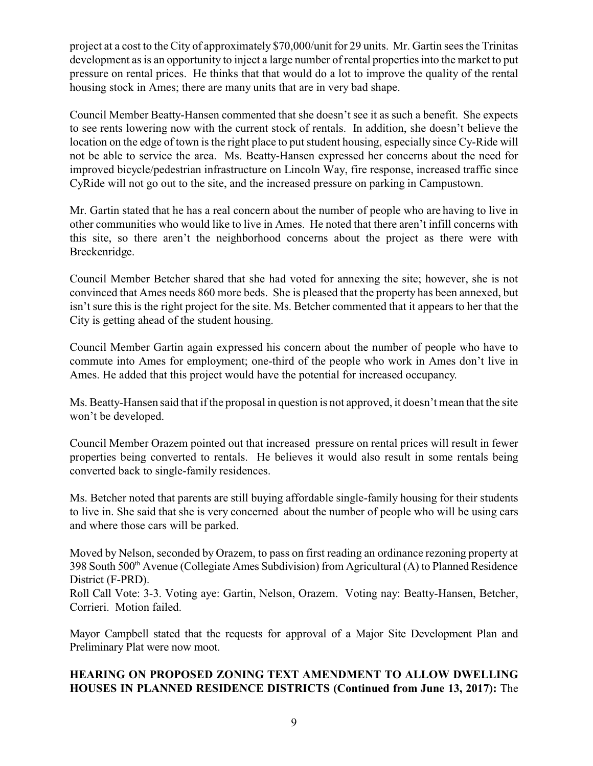project at a cost to the City of approximately \$70,000/unit for 29 units. Mr. Gartin sees the Trinitas development as is an opportunity to inject a large number of rental properties into the market to put pressure on rental prices. He thinks that that would do a lot to improve the quality of the rental housing stock in Ames; there are many units that are in very bad shape.

Council Member Beatty-Hansen commented that she doesn't see it as such a benefit. She expects to see rents lowering now with the current stock of rentals. In addition, she doesn't believe the location on the edge of town is the right place to put student housing, especially since Cy-Ride will not be able to service the area. Ms. Beatty-Hansen expressed her concerns about the need for improved bicycle/pedestrian infrastructure on Lincoln Way, fire response, increased traffic since CyRide will not go out to the site, and the increased pressure on parking in Campustown.

Mr. Gartin stated that he has a real concern about the number of people who are having to live in other communities who would like to live in Ames. He noted that there aren't infill concerns with this site, so there aren't the neighborhood concerns about the project as there were with Breckenridge.

Council Member Betcher shared that she had voted for annexing the site; however, she is not convinced that Ames needs 860 more beds. She is pleased that the property has been annexed, but isn't sure this is the right project for the site. Ms. Betcher commented that it appears to her that the City is getting ahead of the student housing.

Council Member Gartin again expressed his concern about the number of people who have to commute into Ames for employment; one-third of the people who work in Ames don't live in Ames. He added that this project would have the potential for increased occupancy.

Ms. Beatty-Hansen said that if the proposal in question is not approved, it doesn't mean that the site won't be developed.

Council Member Orazem pointed out that increased pressure on rental prices will result in fewer properties being converted to rentals. He believes it would also result in some rentals being converted back to single-family residences.

Ms. Betcher noted that parents are still buying affordable single-family housing for their students to live in. She said that she is very concerned about the number of people who will be using cars and where those cars will be parked.

Moved by Nelson, seconded by Orazem, to pass on first reading an ordinance rezoning property at 398 South 500<sup>th</sup> Avenue (Collegiate Ames Subdivision) from Agricultural (A) to Planned Residence District (F-PRD).

Roll Call Vote: 3-3. Voting aye: Gartin, Nelson, Orazem. Voting nay: Beatty-Hansen, Betcher, Corrieri. Motion failed.

Mayor Campbell stated that the requests for approval of a Major Site Development Plan and Preliminary Plat were now moot.

## **HEARING ON PROPOSED ZONING TEXT AMENDMENT TO ALLOW DWELLING HOUSES IN PLANNED RESIDENCE DISTRICTS (Continued from June 13, 2017):** The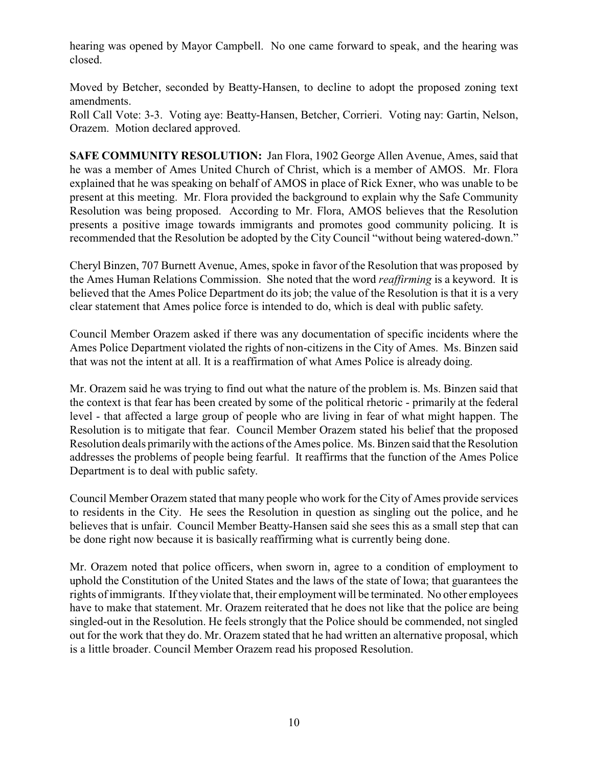hearing was opened by Mayor Campbell. No one came forward to speak, and the hearing was closed.

Moved by Betcher, seconded by Beatty-Hansen, to decline to adopt the proposed zoning text amendments.

Roll Call Vote: 3-3. Voting aye: Beatty-Hansen, Betcher, Corrieri. Voting nay: Gartin, Nelson, Orazem. Motion declared approved.

**SAFE COMMUNITY RESOLUTION:** Jan Flora, 1902 George Allen Avenue, Ames, said that he was a member of Ames United Church of Christ, which is a member of AMOS. Mr. Flora explained that he was speaking on behalf of AMOS in place of Rick Exner, who was unable to be present at this meeting. Mr. Flora provided the background to explain why the Safe Community Resolution was being proposed. According to Mr. Flora, AMOS believes that the Resolution presents a positive image towards immigrants and promotes good community policing. It is recommended that the Resolution be adopted by the City Council "without being watered-down."

Cheryl Binzen, 707 Burnett Avenue, Ames, spoke in favor of the Resolution that was proposed by the Ames Human Relations Commission. She noted that the word *reaffirming* is a keyword. It is believed that the Ames Police Department do its job; the value of the Resolution is that it is a very clear statement that Ames police force is intended to do, which is deal with public safety.

Council Member Orazem asked if there was any documentation of specific incidents where the Ames Police Department violated the rights of non-citizens in the City of Ames. Ms. Binzen said that was not the intent at all. It is a reaffirmation of what Ames Police is already doing.

Mr. Orazem said he was trying to find out what the nature of the problem is. Ms. Binzen said that the context is that fear has been created by some of the political rhetoric - primarily at the federal level - that affected a large group of people who are living in fear of what might happen. The Resolution is to mitigate that fear. Council Member Orazem stated his belief that the proposed Resolution deals primarilywith the actions of the Ames police. Ms. Binzen said that the Resolution addresses the problems of people being fearful. It reaffirms that the function of the Ames Police Department is to deal with public safety.

Council Member Orazem stated that many people who work for the City of Ames provide services to residents in the City. He sees the Resolution in question as singling out the police, and he believes that is unfair. Council Member Beatty-Hansen said she sees this as a small step that can be done right now because it is basically reaffirming what is currently being done.

Mr. Orazem noted that police officers, when sworn in, agree to a condition of employment to uphold the Constitution of the United States and the laws of the state of Iowa; that guarantees the rights of immigrants. If they violate that, their employment will be terminated. No other employees have to make that statement. Mr. Orazem reiterated that he does not like that the police are being singled-out in the Resolution. He feels strongly that the Police should be commended, not singled out for the work that they do. Mr. Orazem stated that he had written an alternative proposal, which is a little broader. Council Member Orazem read his proposed Resolution.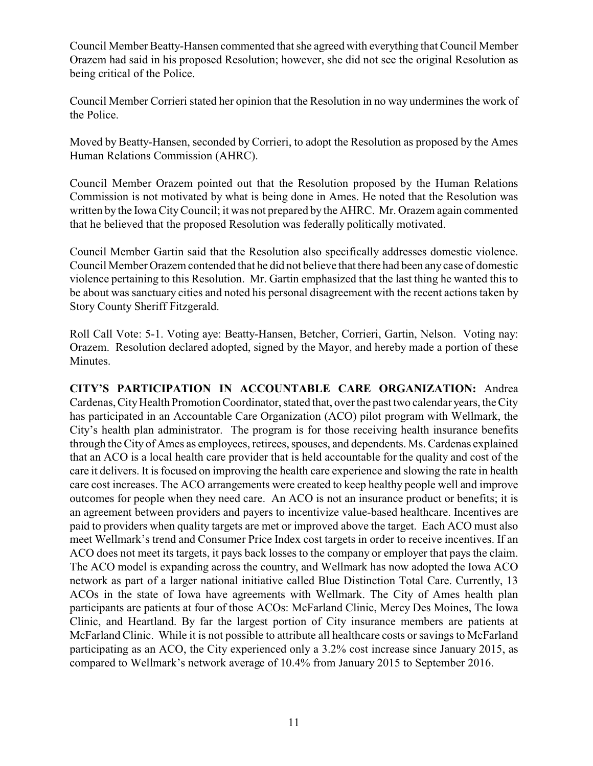Council Member Beatty-Hansen commented that she agreed with everything that Council Member Orazem had said in his proposed Resolution; however, she did not see the original Resolution as being critical of the Police.

Council Member Corrieri stated her opinion that the Resolution in no way undermines the work of the Police.

Moved by Beatty-Hansen, seconded by Corrieri, to adopt the Resolution as proposed by the Ames Human Relations Commission (AHRC).

Council Member Orazem pointed out that the Resolution proposed by the Human Relations Commission is not motivated by what is being done in Ames. He noted that the Resolution was written by the Iowa CityCouncil; it was not prepared by the AHRC. Mr. Orazem again commented that he believed that the proposed Resolution was federally politically motivated.

Council Member Gartin said that the Resolution also specifically addresses domestic violence. Council Member Orazem contended that he did not believe that there had been any case of domestic violence pertaining to this Resolution. Mr. Gartin emphasized that the last thing he wanted this to be about was sanctuary cities and noted his personal disagreement with the recent actions taken by Story County Sheriff Fitzgerald.

Roll Call Vote: 5-1. Voting aye: Beatty-Hansen, Betcher, Corrieri, Gartin, Nelson. Voting nay: Orazem. Resolution declared adopted, signed by the Mayor, and hereby made a portion of these Minutes.

**CITY'S PARTICIPATION IN ACCOUNTABLE CARE ORGANIZATION:** Andrea Cardenas, CityHealth Promotion Coordinator, stated that, over the past two calendar years, the City has participated in an Accountable Care Organization (ACO) pilot program with Wellmark, the City's health plan administrator. The program is for those receiving health insurance benefits through the City of Ames as employees, retirees, spouses, and dependents. Ms. Cardenas explained that an ACO is a local health care provider that is held accountable for the quality and cost of the care it delivers. It is focused on improving the health care experience and slowing the rate in health care cost increases. The ACO arrangements were created to keep healthy people well and improve outcomes for people when they need care. An ACO is not an insurance product or benefits; it is an agreement between providers and payers to incentivize value-based healthcare. Incentives are paid to providers when quality targets are met or improved above the target. Each ACO must also meet Wellmark's trend and Consumer Price Index cost targets in order to receive incentives. If an ACO does not meet its targets, it pays back losses to the company or employer that pays the claim. The ACO model is expanding across the country, and Wellmark has now adopted the Iowa ACO network as part of a larger national initiative called Blue Distinction Total Care. Currently, 13 ACOs in the state of Iowa have agreements with Wellmark. The City of Ames health plan participants are patients at four of those ACOs: McFarland Clinic, Mercy Des Moines, The Iowa Clinic, and Heartland. By far the largest portion of City insurance members are patients at McFarland Clinic. While it is not possible to attribute all healthcare costs or savings to McFarland participating as an ACO, the City experienced only a 3.2% cost increase since January 2015, as compared to Wellmark's network average of 10.4% from January 2015 to September 2016.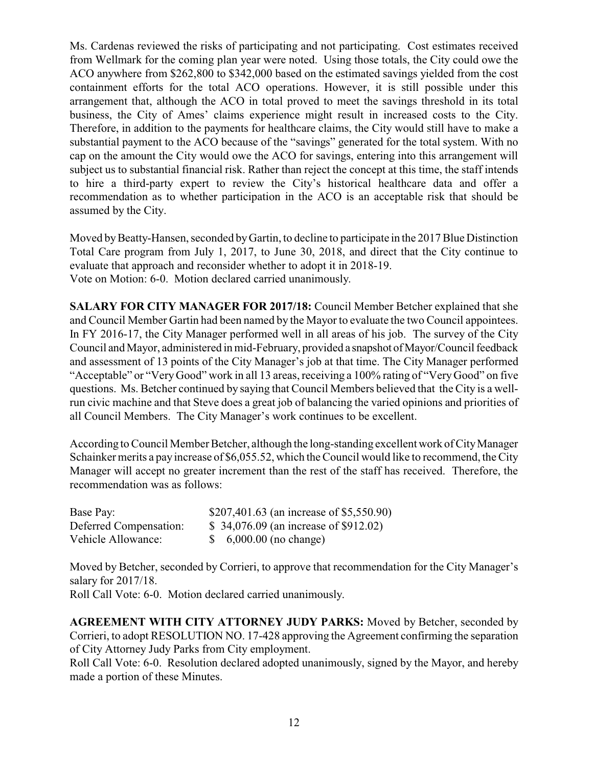Ms. Cardenas reviewed the risks of participating and not participating. Cost estimates received from Wellmark for the coming plan year were noted. Using those totals, the City could owe the ACO anywhere from \$262,800 to \$342,000 based on the estimated savings yielded from the cost containment efforts for the total ACO operations. However, it is still possible under this arrangement that, although the ACO in total proved to meet the savings threshold in its total business, the City of Ames' claims experience might result in increased costs to the City. Therefore, in addition to the payments for healthcare claims, the City would still have to make a substantial payment to the ACO because of the "savings" generated for the total system. With no cap on the amount the City would owe the ACO for savings, entering into this arrangement will subject us to substantial financial risk. Rather than reject the concept at this time, the staff intends to hire a third-party expert to review the City's historical healthcare data and offer a recommendation as to whether participation in the ACO is an acceptable risk that should be assumed by the City.

Moved by Beatty-Hansen, seconded by Gartin, to decline to participate in the 2017 Blue Distinction Total Care program from July 1, 2017, to June 30, 2018, and direct that the City continue to evaluate that approach and reconsider whether to adopt it in 2018-19. Vote on Motion: 6-0. Motion declared carried unanimously.

**SALARY FOR CITY MANAGER FOR 2017/18:** Council Member Betcher explained that she and Council Member Gartin had been named by the Mayor to evaluate the two Council appointees. In FY 2016-17, the City Manager performed well in all areas of his job. The survey of the City Council and Mayor, administered in mid-February, provided a snapshot of Mayor/Council feedback and assessment of 13 points of the City Manager's job at that time. The City Manager performed "Acceptable" or "VeryGood" work in all 13 areas, receiving a 100% rating of "VeryGood" on five questions. Ms. Betcher continued by saying that Council Members believed that the City is a wellrun civic machine and that Steve does a great job of balancing the varied opinions and priorities of all Council Members. The City Manager's work continues to be excellent.

According to Council Member Betcher, although the long-standing excellent work of CityManager Schainker merits a payincrease of \$6,055.52, which the Council would like to recommend, the City Manager will accept no greater increment than the rest of the staff has received. Therefore, the recommendation was as follows:

| Base Pay:              | \$207,401.63 (an increase of \$5,550.90) |
|------------------------|------------------------------------------|
| Deferred Compensation: | \$34,076.09 (an increase of \$912.02)    |
| Vehicle Allowance:     | $$6,000.00$ (no change)                  |

Moved by Betcher, seconded by Corrieri, to approve that recommendation for the City Manager's salary for 2017/18.

Roll Call Vote: 6-0. Motion declared carried unanimously.

**AGREEMENT WITH CITY ATTORNEY JUDY PARKS:** Moved by Betcher, seconded by Corrieri, to adopt RESOLUTION NO. 17-428 approving the Agreement confirming the separation of City Attorney Judy Parks from City employment.

Roll Call Vote: 6-0. Resolution declared adopted unanimously, signed by the Mayor, and hereby made a portion of these Minutes.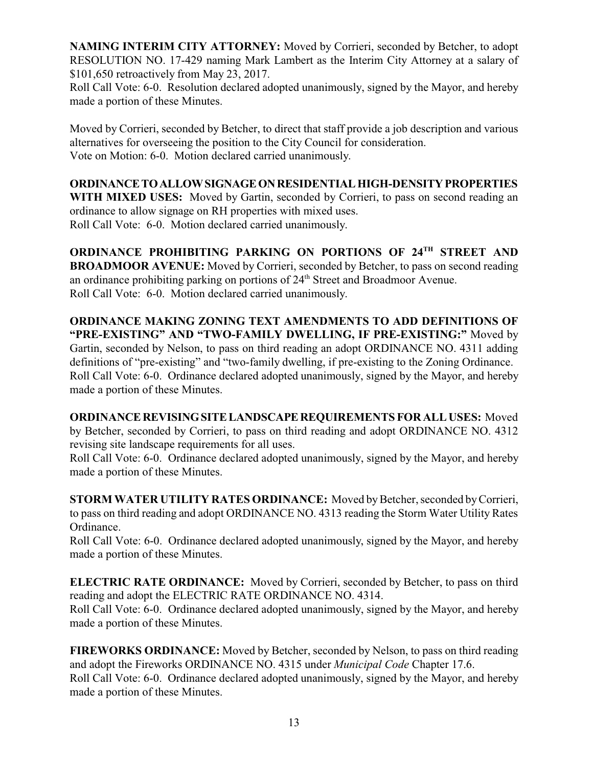**NAMING INTERIM CITY ATTORNEY:** Moved by Corrieri, seconded by Betcher, to adopt RESOLUTION NO. 17-429 naming Mark Lambert as the Interim City Attorney at a salary of \$101,650 retroactively from May 23, 2017.

Roll Call Vote: 6-0. Resolution declared adopted unanimously, signed by the Mayor, and hereby made a portion of these Minutes.

Moved by Corrieri, seconded by Betcher, to direct that staff provide a job description and various alternatives for overseeing the position to the City Council for consideration. Vote on Motion: 6-0. Motion declared carried unanimously.

**ORDINANCETOALLOWSIGNAGEONRESIDENTIALHIGH-DENSITYPROPERTIES WITH MIXED USES:** Moved by Gartin, seconded by Corrieri, to pass on second reading an ordinance to allow signage on RH properties with mixed uses.

Roll Call Vote: 6-0. Motion declared carried unanimously.

**ORDINANCE PROHIBITING PARKING ON PORTIONS OF 24TH STREET AND BROADMOOR AVENUE:** Moved by Corrieri, seconded by Betcher, to pass on second reading an ordinance prohibiting parking on portions of  $24<sup>th</sup>$  Street and Broadmoor Avenue. Roll Call Vote: 6-0. Motion declared carried unanimously.

**ORDINANCE MAKING ZONING TEXT AMENDMENTS TO ADD DEFINITIONS OF "PRE-EXISTING" AND "TWO-FAMILY DWELLING, IF PRE-EXISTING:"** Moved by Gartin, seconded by Nelson, to pass on third reading an adopt ORDINANCE NO. 4311 adding definitions of "pre-existing" and "two-family dwelling, if pre-existing to the Zoning Ordinance. Roll Call Vote: 6-0. Ordinance declared adopted unanimously, signed by the Mayor, and hereby made a portion of these Minutes.

**ORDINANCEREVISINGSITELANDSCAPEREQUIREMENTS FOR ALL USES:** Moved by Betcher, seconded by Corrieri, to pass on third reading and adopt ORDINANCE NO. 4312 revising site landscape requirements for all uses.

Roll Call Vote: 6-0. Ordinance declared adopted unanimously, signed by the Mayor, and hereby made a portion of these Minutes.

**STORM WATER UTILITY RATES ORDINANCE:** Moved by Betcher, seconded by Corrieri, to pass on third reading and adopt ORDINANCE NO. 4313 reading the Storm Water Utility Rates Ordinance.

Roll Call Vote: 6-0. Ordinance declared adopted unanimously, signed by the Mayor, and hereby made a portion of these Minutes.

**ELECTRIC RATE ORDINANCE:** Moved by Corrieri, seconded by Betcher, to pass on third reading and adopt the ELECTRIC RATE ORDINANCE NO. 4314.

Roll Call Vote: 6-0. Ordinance declared adopted unanimously, signed by the Mayor, and hereby made a portion of these Minutes.

**FIREWORKS ORDINANCE:** Moved by Betcher, seconded by Nelson, to pass on third reading and adopt the Fireworks ORDINANCE NO. 4315 under *Municipal Code* Chapter 17.6. Roll Call Vote: 6-0. Ordinance declared adopted unanimously, signed by the Mayor, and hereby made a portion of these Minutes.